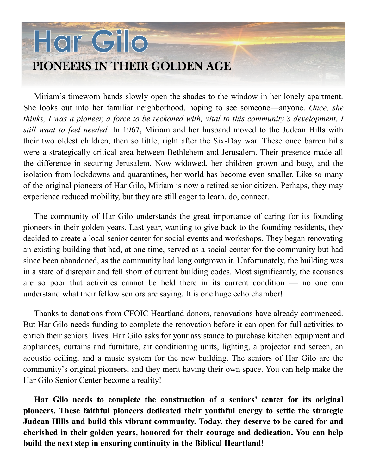## Hor Gilo PIONEERS IN THEIR GOLDEN AGE

Miriam's timeworn hands slowly open the shades to the window in her lonely apartment. She looks out into her familiar neighborhood, hoping to see someone—anyone. *Once, she thinks, I was a pioneer, a force to be reckoned with, vital to this community's development. I still want to feel needed.* In 1967, Miriam and her husband moved to the Judean Hills with their two oldest children, then so little, right after the Six-Day war. These once barren hills were a strategically critical area between Bethlehem and Jerusalem. Their presence made all the difference in securing Jerusalem. Now widowed, her children grown and busy, and the isolation from lockdowns and quarantines, her world has become even smaller. Like so many of the original pioneers of Har Gilo, Miriam is now a retired senior citizen. Perhaps, they may experience reduced mobility, but they are still eager to learn, do, connect.

The community of Har Gilo understands the great importance of caring for its founding pioneers in their golden years. Last year, wanting to give back to the founding residents, they decided to create a local senior center for social events and workshops. They began renovating an existing building that had, at one time, served as a social center for the community but had since been abandoned, as the community had long outgrown it. Unfortunately, the building was in a state of disrepair and fell short of current building codes. Most significantly, the acoustics are so poor that activities cannot be held there in its current condition — no one can understand what their fellow seniors are saying. It is one huge echo chamber!

Thanks to donations from CFOIC Heartland donors, renovations have already commenced. But Har Gilo needs funding to complete the renovation before it can open for full activities to enrich their seniors' lives. Har Gilo asks for your assistance to purchase kitchen equipment and appliances, curtains and furniture, air conditioning units, lighting, a projector and screen, an acoustic ceiling, and a music system for the new building. The seniors of Har Gilo are the community's original pioneers, and they merit having their own space. You can help make the Har Gilo Senior Center become a reality!

**Har Gilo needs to complete the construction of a seniors' center for its original pioneers. These faithful pioneers dedicated their youthful energy to settle the strategic Judean Hills and build this vibrant community. Today, they deserve to be cared for and cherished in their golden years, honored for their courage and dedication. You can help build the next step in ensuring continuity in the Biblical Heartland!**